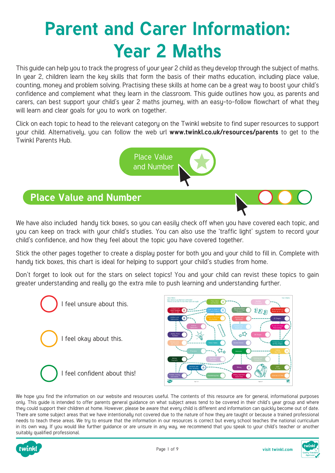# **Parent and Carer Information: Year 2 Maths**

This guide can help you to track the progress of your year 2 child as they develop through the subject of maths. In year 2, children learn the key skills that form the basis of their maths education, including place value, counting, money and problem solving. Practising these skills at home can be a great way to boost your child's confidence and complement what they learn in the classroom. This guide outlines how you, as parents and carers, can best support your child's year 2 maths journey, with an easy-to-follow flowchart of what they will learn and clear goals for you to work on together.

Click on each topic to head to the relevant category on the Twinkl website to find super resources to support your child. Alternatively, you can follow the web url **[www.twinkl.co.uk/resources/parents](https://www.twinkl.co.uk/resources/parents)** to get to the Twinkl Parents Hub.



#### **Place Value and Number**

We have also included handy tick boxes, so you can easily check off when you have covered each topic, and uou can keep on track with your child's studies. You can also use the 'traffic light' sustem to record your child's confidence, and how they feel about the topic you have covered together.

Stick the other pages together to create a display poster for both you and your child to fill in. Complete with handy tick boxes, this chart is ideal for helping to support your child's studies from home.

Don't forget to look out for the stars on select topics! You and your child can revist these topics to gain greater understanding and really go the extra mile to push learning and understanding further.





We hope you find the information on our website and resources useful. The contents of this resource are for general, informational purposes only. This guide is intended to offer parents general guidance on what subject areas tend to be covered in their child's year group and where they could support their children at home. However, please be aware that every child is different and information can quickly become out of date. There are some subject areas that we have intentionally not covered due to the nature of how they are taught or because a trained professional needs to teach these areas. We try to ensure that the information in our resources is correct but every school teaches the national curriculum in its own way. If you would like further guidance or are unsure in any way, we recommend that you speak to your child's teacher or another suitably qualified professional.



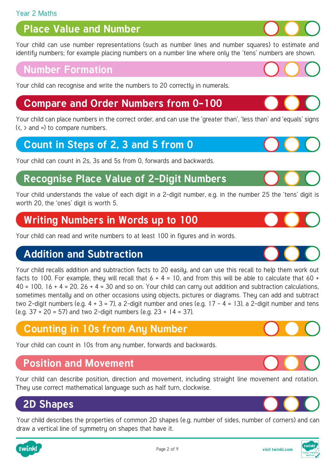### **Place Value and Number**

[Your child can use number representations \(such as number lines and number squares\) to estimate and](https://www.twinkl.co.uk/resources/maths-school-years-parents/number-and-place-value-maths-main-subjects-parents/year-2-ages-6-7-number-and-place-value-maths-main-subjects-parents)  identify numbers; for example placing numbers on a number line where only the 'tens' numbers are shown.

#### **Number Formation**

[Your child can recognise and write the numbers to 20 correctly in numerals.](https://www.twinkl.co.uk/resources/maths-school-years-parents/number-formation-maths-main-subjects-parents/number-formation-year-2-ages-6-7-maths-main-subjects-parents)

#### **[Compare and Order Numbers from 0-100](https://www.twinkl.co.uk/resource/t-n-2937-square-number-cards-0-100)**

Your child can place numbers in the correct order, and can use the 'greater than', 'less than' and 'equals' signs  $(<, >$  and =) to compare numbers.

#### **[Count in Steps of 2, 3 and 5 from 0](https://www.twinkl.co.uk/resources/maths-school-years-parents/counting-maths-main-subjects-parents/counting-year-2-age-6-7-maths-main-subjects-parents)**

Your child can count in 2s, 3s and 5s from 0, forwards and backwards.

#### **[Recognise Place Value of 2-Digit Numbers](https://www.twinkl.co.uk/resources/maths-school-years-parents/number-and-place-value-maths-main-subjects-parents/year-2-ages-6-7-number-and-place-value-maths-main-subjects-parents)**

Your child understands the value of each digit in a 2-digit number, e.g. in the number 25 the 'tens' digit is worth 20, the 'ones' digit is worth 5.

#### **[Writing Numbers in Words up to 100](https://www.twinkl.co.uk/resources/age-specific-resources-parents/maths-school-years-parents/writing-numbers-as-words-maths-main-subjects-parents)**

Your child can read and write numbers to at least 100 in figures and in words.

#### **Addition and Subtraction**

Your child recalls addition and subtraction facts to 20 easily, and can use this recall to help them work out facts to 100. For example, they will recall that  $6 + 4 = 10$ , and from this will be able to calculate that 60 +  $40 = 100$ ,  $16 + 4 = 20$ ,  $26 + 4 = 30$  and so on. Your child can carry out addition and subtraction calculations, sometimes mentally and on other occasions using objects, pictures or diagrams. They can add and subtract two 2-digit numbers (e.g.  $4 + 3 = 7$ ), a 2-digit number and ones (e.g. 17 - 4 = 13), a 2-digit number and tens (e.g.  $37 + 20 = 57$ ) and two 2-digit numbers (e.g.  $23 + 14 = 37$ ).

#### **[Counting in 10s from Any Number](https://www.twinkl.co.uk/resources/maths-school-years-parents/counting-maths-main-subjects-parents/counting-year-2-age-6-7-maths-main-subjects-parents)**

Your child can count in 10s from any number, forwards and backwards.

#### **Position and Movement**

[Your child can describe position, direction and movement, including straight line movement and rotation.](https://www.twinkl.co.uk/resource/t-n-5869-turning-turtles-activity-sheet)  They use correct mathematical language such as half turn, clockwise.

## **2D Shapes**

[Your child describes the properties of common 2D shapes \(e.g. number of sides, number of corners\) and can](https://www.twinkl.co.uk/resources/age-specific-resources-parents/maths-school-years-parents/2d-shapes-maths-main-subjects-parents)  draw a vertical line of symmetry on shapes that have it.













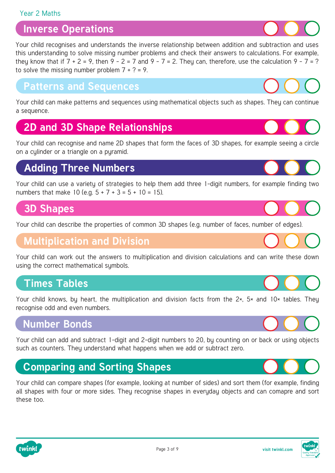#### Year 2 Maths

#### **Inverse Operations**

Your child recognises and understands the inverse relationship between addition and subtraction and uses [this understanding to solve missing number problems and check their answers to calculations. For example,](https://www.twinkl.co.uk/resource/t-n-2545406-ks1-missing-number-challenge-cards)  they know that if  $7 + 2 = 9$ , then  $9 - 2 = 7$  and  $9 - 7 = 2$ . They can, therefore, use the calculation  $9 - 7 = ?$ to solve the missing number problem  $7 + ? = 9$ .

#### **Patterns and Sequences**

[Your child can make patterns and sequences using mathematical objects such as shapes. They can continue](https://www.twinkl.co.uk/resource/t-n-2546280-interlocking-cubes-caterpillar-pattern-challenge-cards)  a sequence.

### **2D and 3D Shape Relationships**

[Your child can recognise and name 2D shapes that form the faces of 3D shapes, for example seeing a circle](https://www.twinkl.co.uk/resource/t-n-1980-parts-of-a-3d-shape-interactive-visual-aid)  on a cylinder or a triangle on a pyramid.

### **Adding Three Numbers**

[Your child can use a variety of strategies to help them add three 1-digit numbers, for example finding two](https://www.twinkl.co.uk/resource/t-n-2544969-year-2-maths-adding-3-numbers-homework-go-respondtm-activity-sheet)  numbers that make 10 (e.g.  $5 + 7 + 3 = 5 + 10 = 15$ ).

#### **3D Shapes**

Your child can describe the properties of common 3D shapes (e.g. number of faces, numb

#### **Multiplication and Division**

[Your child can work out the answers to multiplication and division calculations and can write these down](https://www.twinkl.co.uk/resource/t-he-356-year-2-multiplication-and-division-word-problems-x2-x5-x10)  using the correct mathematical symbols.

#### **Times Tables**

Your child knows, by heart, the multiplication and division facts from the 2×, 5× and 10× tables. They recognise odd and even numbers.

#### **Number Bonds**

[Your child can add and subtract 1-digit and 2-digit numbers to 20, by counting on or back or using objects](https://www.twinkl.co.uk/resources/maths-school-years-parents/number-bonds-maths-main-subjects-parents/number-bonds-year-2-ages-6-7-number-bonds-maths-main-subjects-parents)  such as counters. They understand what happens when we add or subtract zero.

## **Comparing and Sorting Shapes**

[Your child can compare shapes \(for example, looking at number of sides\) and sort them \(for example, finding](https://www.twinkl.co.uk/resource/t-n-1105-3d-shape-sorting-activity)  all shapes with four or more sides. Theu recognise shapes in everyday objects and can comapre and sort these too.

Page 3 of 9









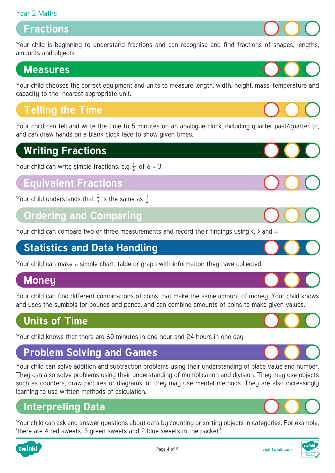#### Year 2 Maths

#### **Fractions**

[Your child is beginning to understand fractions and can recognise and find fractions of shapes, lengths,](https://www.twinkl.co.uk/resources/maths-school-years-parents/fractions-maths-main-subjects-parents/fractions-year-2-ages-6-7-fractions-maths-main-subjects-parents)  amounts and objects.

#### **Measures**

[Your child chooses the correct equipment and units to measure length, width, height, mass, temperature and](https://www.twinkl.co.uk/resources/maths-school-years-parents/measurement-dimensions-mass-capacity-maths-main-subjects-parents/measurement-dimensions-mass-and-capacity-year-2-ages-6-7-maths-main-subjects-parents)  capacity to the nearest appropriate unit.

#### **Telling the Time**

[Your child can tell and write the time to 5 minutes on an analogue clock, including quarter past/quarter to,](https://www.twinkl.co.uk/resource/t-n-5083-oclock-half-past-and-quarter-past-to-times-activity-sheet)  and can draw hands on a blank clock face to show given times.

#### **Writing Fractions**

Your child can write simple fractions, e.g.  $\frac{1}{2}$  of 6 = 3. 2

#### **[Equivalent Fractions](https://www.twinkl.co.uk/resources/maths-school-years-parents/fractions-maths-main-subjects-parents/fractions-year-2-ages-6-7-fractions-maths-main-subjects-parents)**

Your child understands that  $\frac{2}{4}$  is the same as  $\frac{1}{2}$ . 2 2 4

#### **[Ordering and Comparing](https://www.twinkl.co.uk/resource/t-he-032-measuring-length-challenge-cards)**

Your child can compare two or three measurements and record their findings using  $\langle$ ,  $\rangle$  and =.

# **Statistics and Data Handling**

[Your child can make a simple chart, table or graph with information they have collected.](https://www.twinkl.co.uk/resources/maths-school-years-parents/statistics-and-data-handling-maths-main-subjects-parents/statistics-and-data-handling-year-2-ages-6-7-statistics-and-data-handling-maths-main-subjects-parents) 

#### **Money**

[Your child can find different combinations of coins that make the same amount of money. Your child knows](https://www.twinkl.co.uk/resource/t-n-5385-counting-mixed-coins-activity-sheet)  and uses the symbols for pounds and pence, and can combine amounts of coins to make given values.

#### **Units of Time**

[Your child knows that there are 60 minutes in one hour and 24 hours in one day.](https://www.twinkl.co.uk/resources/age-specific-resources-parents/maths-school-years-parents/telling-the-time-maths-main-subjects-parents)

# **Problem Solving and Games**

Your child can solve addition and subtraction problems using their understanding of place value and number. They can also solve problems using their understanding of multiplication and division. They may use objects such as counters, draw pictures or diagrams, or they may use mental methods. They are also increasingly learning to use written methods of calculation.

### **Interpreting Data**

[Your child can ask and answer questions about data by counting or sorting objects in categories. For example,](https://www.twinkl.co.uk/resource/t-n-5582-jungle-and-safari-themed-block-diagram-activity-sheet)  'there are 4 red sweets, 3 green sweets and 2 blue sweets in the packet.'





Page 4 of 9











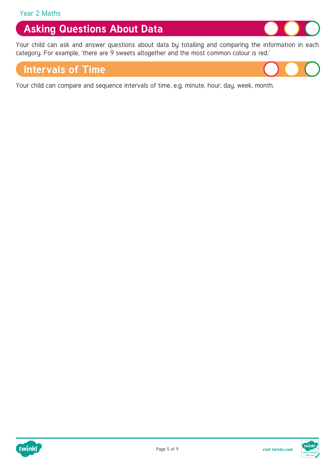### **Asking Questions About Data**

[Your child can ask and answer questions about data by totalling and comparing the information in each](https://www.twinkl.co.uk/resources/maths-school-years-parents/statistics-and-data-handling-maths-main-subjects-parents/statistics-and-data-handling-year-2-ages-6-7-statistics-and-data-handling-maths-main-subjects-parents)  category. For example, 'there are 9 sweets altogether and the most common colour is red.'

#### **Intervals of Time**

[Your child can compare and sequence intervals of time, e.g. minute, hour, day, week, month.](https://www.twinkl.co.uk/resources/age-specific-resources-parents/maths-school-years-parents/telling-the-time-maths-main-subjects-parents)



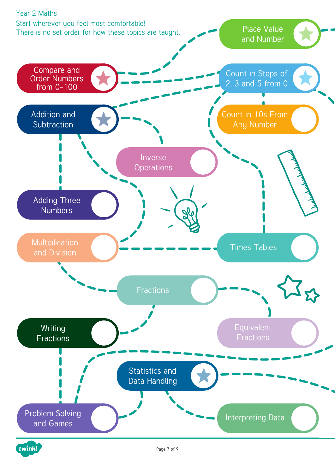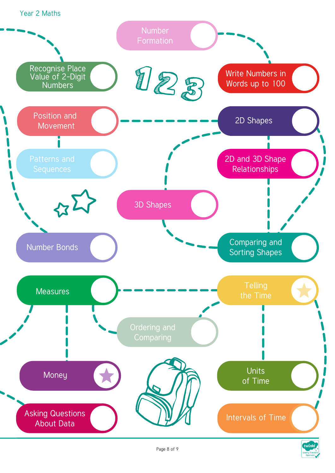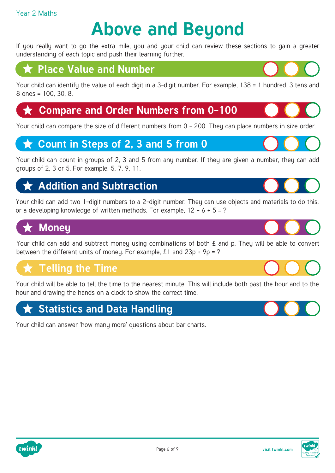#### Year 2 Maths

# **Above and Beyond**

If you really want to go the extra mile, you and your child can review these sections to gain a greater understanding of each topic and push their learning further.

#### **Place Value and Number**

[Your child can identify the value of each digit in a 3-digit number. For example, 138 = 1 hundred, 3 tens and](https://www.twinkl.co.uk/resources/maths-school-years-parents/number-and-place-value-maths-main-subjects-parents/year-3-ages-7-8-number-and-place-value-maths-main-subjects-parents)  8 ones = 100, 30, 8.

#### **★ [Compare and Order Numbers from 0-100](https://www.twinkl.co.uk/resource/t-n-4258-square-number-cards-0-200)**

Your child can compare the size of different numbers from 0 - 200. Theu can place numbers in size order.

#### **★ Count in Steps of 2, 3 and 5 from 0**

[Your child can count in groups of 2, 3 and 5 from any number. If they are given a number, they can add](https://www.twinkl.co.uk/resources/maths-school-years-parents/counting-maths-main-subjects-parents/counting-year-2-age-6-7-maths-main-subjects-parents)  groups of 2, 3 or 5. For example, 5, 7, 9, 11.

## **Addition and Subtraction**

[Your child can add two 1-digit numbers to a 2-digit number. They can use objects and materials to do this,](https://www.twinkl.co.uk/resources/maths-school-years-parents/addition-and-subtraction-maths-main-subjects-parents/addition-and-subtraction-year-2-ages-6-7-parents)  or a developing knowledge of written methods. For example,  $12 + 6 + 5 = ?$ 

# **Money**

Your child can add and subtract money using combinations of both  $E$  and p. They will be able to convert between the different units of money. For example,  $£1$  and  $23p + 9p = ?$ 

# **Telling the Time**

[Your child will be able to tell the time to the nearest minute. This will include both past the hour and to the](https://www.twinkl.co.uk/resource/t-n-5564-reading-the-time-to-the-nearest-minute-digital-clock-matching-cards)  hour and drawing the hands on a clock to show the correct time.

# **[Statistics and Data Handling](https://www.twinkl.co.uk/resource/ks1-statistics-challenge-cards-t-n-2545955)**

Your child can answer 'how many more' questions about bar charts.